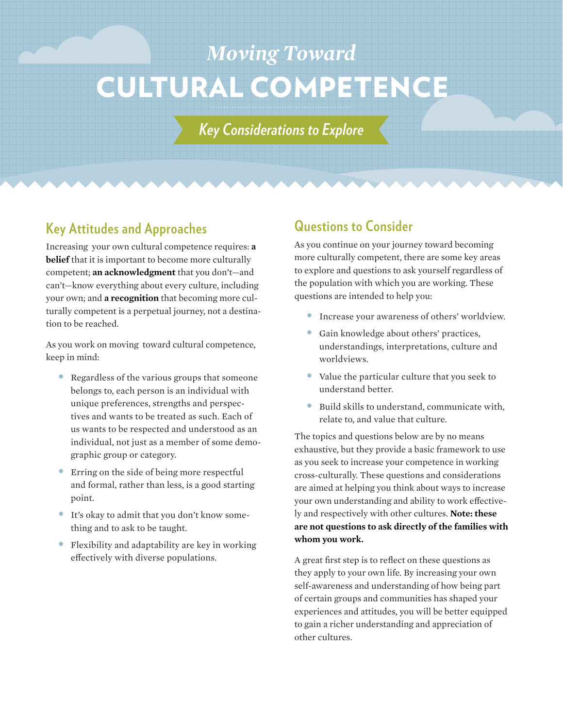# CULTURAL COMPETENCE *Moving Toward*

*Key Considerations to Explore*

### **Key Attitudes and Approaches**

Increasing your own cultural competence requires: **a belief** that it is important to become more culturally competent; **an acknowledgment** that you don't—and can't—know everything about every culture, including your own; and **a recognition** that becoming more culturally competent is a perpetual journey, not a destination to be reached.

As you work on moving toward cultural competence, keep in mind:

- Regardless of the various groups that someone belongs to, each person is an individual with unique preferences, strengths and perspectives and wants to be treated as such. Each of us wants to be respected and understood as an individual, not just as a member of some demographic group or category.
- Erring on the side of being more respectful and formal, rather than less, is a good starting point.
- It's okay to admit that you don't know something and to ask to be taught.
- Flexibility and adaptability are key in working effectively with diverse populations.

## **Questions to Consider**

As you continue on your journey toward becoming more culturally competent, there are some key areas to explore and questions to ask yourself regardless of the population with which you are working. These questions are intended to help you:

- Increase your awareness of others' worldview.
- Gain knowledge about others' practices, understandings, interpretations, culture and worldviews.
- Value the particular culture that you seek to understand better.
- Build skills to understand, communicate with, relate to, and value that culture.

The topics and questions below are by no means exhaustive, but they provide a basic framework to use as you seek to increase your competence in working cross-culturally. These questions and considerations are aimed at helping you think about ways to increase your own understanding and ability to work effectively and respectively with other cultures. **Note: these are not questions to ask directly of the families with whom you work.**

A great first step is to reflect on these questions as they apply to your own life. By increasing your own self-awareness and understanding of how being part of certain groups and communities has shaped your experiences and attitudes, you will be better equipped to gain a richer understanding and appreciation of other cultures.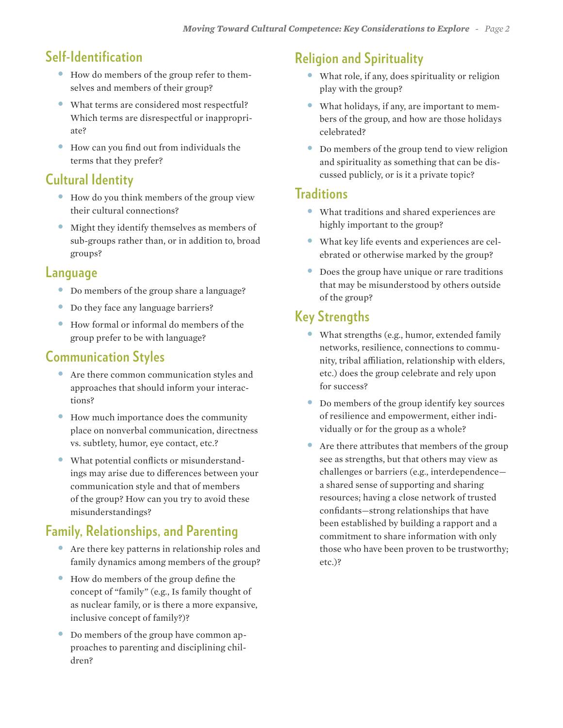# **Self-Identification**

- How do members of the group refer to themselves and members of their group?
- What terms are considered most respectful? Which terms are disrespectful or inappropriate?
- How can you find out from individuals the terms that they prefer?

## **Cultural Identity**

- How do you think members of the group view their cultural connections?
- Might they identify themselves as members of sub-groups rather than, or in addition to, broad groups?

#### **Language**

- Do members of the group share a language?
- Do they face any language barriers?
- How formal or informal do members of the group prefer to be with language?

## **Communication Styles**

- Are there common communication styles and approaches that should inform your interactions?
- How much importance does the community place on nonverbal communication, directness vs. subtlety, humor, eye contact, etc.?
- What potential conflicts or misunderstandings may arise due to differences between your communication style and that of members of the group? How can you try to avoid these misunderstandings?

# **Family, Relationships, and Parenting**

- Are there key patterns in relationship roles and family dynamics among members of the group?
- How do members of the group define the concept of "family" (e.g., Is family thought of as nuclear family, or is there a more expansive, inclusive concept of family?)?
- Do members of the group have common approaches to parenting and disciplining children?

## **Religion and Spirituality**

- What role, if any, does spirituality or religion play with the group?
- What holidays, if any, are important to members of the group, and how are those holidays celebrated?
- Do members of the group tend to view religion and spirituality as something that can be discussed publicly, or is it a private topic?

#### **Traditions**

- What traditions and shared experiences are highly important to the group?
- What key life events and experiences are celebrated or otherwise marked by the group?
- Does the group have unique or rare traditions that may be misunderstood by others outside of the group?

# **Key Strengths**

- What strengths (e.g., humor, extended family networks, resilience, connections to community, tribal affiliation, relationship with elders, etc.) does the group celebrate and rely upon for success?
- Do members of the group identify key sources of resilience and empowerment, either individually or for the group as a whole?
- Are there attributes that members of the group see as strengths, but that others may view as challenges or barriers (e.g., interdependence a shared sense of supporting and sharing resources; having a close network of trusted confidants—strong relationships that have been established by building a rapport and a commitment to share information with only those who have been proven to be trustworthy; etc.)?